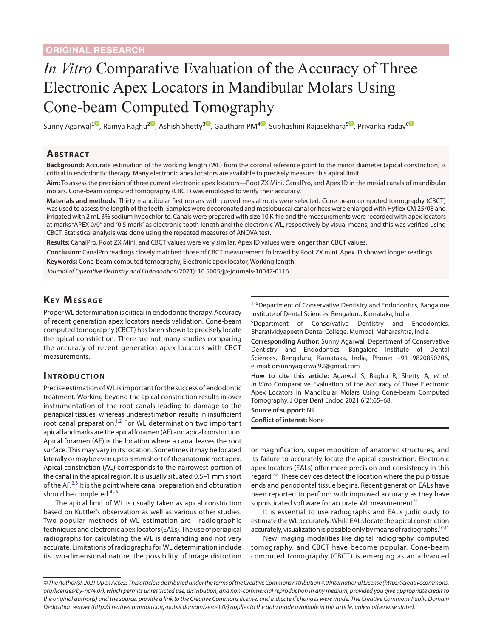# *In Vitro* Comparative Evaluation of the Accuracy of Three Electronic Apex Locators in Mandibular Molars Using Cone-beam Computed Tomography

Sunny Agarwal<sup>[1](https://orcid.org/0000-0003-4380-4941)0</sup>[,](https://orcid.org/0000-0002-5367-7547) Ramya Raghu<sup>20</sup>, Ashish Shetty<sup>[3](https://orcid.org/0000-0002-1034-3758)0</sup>, Gautham PM<sup>[4](https://orcid.org/0000-0002-0783-1996)0</sup>, Subhashini Rajasekhara<sup>[5](https://orcid.org/0000-0001-7656-8434)0</sup>, Priyanka Yadav<sup>[6](https://orcid.org/0000-0002-6694-5790)0</sup>

### **Ab s t rac t**

**Background:** Accurate estimation of the working length (WL) from the coronal reference point to the minor diameter (apical constriction) is critical in endodontic therapy. Many electronic apex locators are available to precisely measure this apical limit.

**Aim:** To assess the precision of three current electronic apex locators—Root ZX Mini, CanalPro, and Apex ID in the mesial canals of mandibular molars. Cone-beam computed tomography (CBCT) was employed to verify their accuracy.

**Materials and methods:** Thirty mandibular first molars with curved mesial roots were selected. Cone-beam computed tomography (CBCT) was used to assess the length of the teeth. Samples were decoronated and mesiobuccal canal orifices were enlarged with Hyflex CM 25/08 and irrigated with 2 mL 3% sodium hypochlorite. Canals were prepared with size 10 K-file and the measurements were recorded with apex locators at marks "APEX 0/0" and "0.5 mark" as electronic tooth length and the electronic WL, respectively by visual means, and this was verified using CBCT. Statistical analysis was done using the repeated measures of ANOVA test.

**Results:** CanalPro, Root ZX Mini, and CBCT values were very similar. Apex ID values were longer than CBCT values.

**Conclusion:** CanalPro readings closely matched those of CBCT measurement followed by Root ZX mini. Apex ID showed longer readings.

**Keywords:** Cone-beam computed tomography, Electronic apex locator, Working length.

*Journal of Operative Dentistry and Endodontics* (2021): 10.5005/jp-journals-10047-0116

# **KEY MESSAGE**

Proper WL determination is critical in endodontic therapy. Accuracy of recent generation apex locators needs validation. Cone-beam computed tomography (CBCT) has been shown to precisely locate the apical constriction. There are not many studies comparing the accuracy of recent generation apex locators with CBCT measurements.

## **INTRODUCTION**

Precise estimation of WL is important for the success of endodontic treatment. Working beyond the apical constriction results in over instrumentation of the root canals leading to damage to the periapical tissues, whereas underestimation results in insufficient root canal preparation.<sup>1,[2](#page-3-1)</sup> For WL determination two important apical landmarks are the apical foramen (AF) and apical constriction. Apical foramen (AF) is the location where a canal leaves the root surface. This may vary in its location. Sometimes it may be located laterally or maybe even up to 3 mm short of the anatomic root apex. Apical constriction (AC) corresponds to the narrowest portion of the canal in the apical region. It is usually situated 0.5–1 mm short of the AF.<sup>[2](#page-3-1),[3](#page-3-2)</sup> It is the point where canal preparation and obturation should be completed.<sup>[4](#page-3-3)-6</sup>

The apical limit of WL is usually taken as apical constriction based on Kuttler's observation as well as various other studies. Two popular methods of WL estimation are—radiographic techniques and electronic apex locators (EALs). The use of periapical radiographs for calculating the WL is demanding and not very accurate. Limitations of radiographs for WL determination include its two-dimensional nature, the possibility of image distortion

 $1-5$ Department of Conservative Dentistry and Endodontics, Bangalore Institute of Dental Sciences, Bengaluru, Karnataka, India

<sup>6</sup>Department of Conservative Dentistry and Endodontics, Bharatividyapeeth Dental College, Mumbai, Maharashtra, India

**Corresponding Author:** Sunny Agarwal, Department of Conservative Dentistry and Endodontics, Bangalore Institute of Dental Sciences, Bengaluru, Karnataka, India, Phone: +91 9820850206, e-mail: drsunnyagarwal92@gmail.com

**How to cite this article:** Agarwal S, Raghu R, Shetty A, *et al. In Vitro* Comparative Evaluation of the Accuracy of Three Electronic Apex Locators in Mandibular Molars Using Cone-beam Computed Tomography. J Oper Dent Endod 2021;6(2):65–68.

**Source of support:** Nil

**Conflict of interest:** None

or magnification, superimposition of anatomic structures, and its failure to accurately locate the apical constriction. Electronic apex locators (EALs) offer more precision and consistency in this regard.<sup>[7,](#page-3-5)[8](#page-3-6)</sup> These devices detect the location where the pulp tissue ends and periodontal tissue begins. Recent generation EALs have been reported to perform with improved accuracy as they have sophisticated software for accurate WL measurement.<sup>[9](#page-3-7)</sup>

It is essential to use radiographs and EALs judiciously to estimate the WL accurately. While EALs locate the apical constriction accurately, visualization is possible only by means of radiographs.<sup>10[,11](#page-3-9)</sup>

New imaging modalities like digital radiography, computed tomography, and CBCT have become popular. Cone-beam computed tomography (CBCT) is emerging as an advanced

*<sup>©</sup> The Author(s). 2021 Open Access This article is distributed under the terms of the Creative Commons Attribution 4.0 International License ([https://creativecommons.](https://creativecommons.org/licenses/by-nc/4.0/) [org/licenses/by-nc/4.0/](https://creativecommons.org/licenses/by-nc/4.0/)), which permits unrestricted use, distribution, and non-commercial reproduction in any medium, provided you give appropriate credit to the original author(s) and the source, provide a link to the Creative Commons license, and indicate if changes were made. The Creative Commons Public Domain Dedication waiver ([http://creativecommons.org/publicdomain/zero/1.0/\)](http://creativecommons.org/publicdomain/zero/1.0/) applies to the data made available in this article, unless otherwise stated.*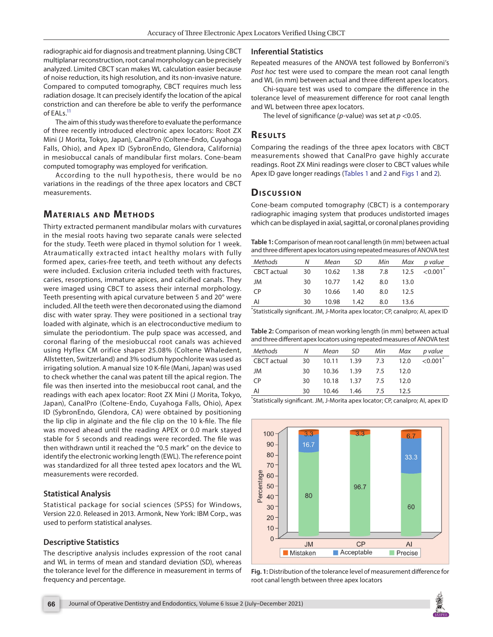radiographic aid for diagnosis and treatment planning. Using CBCT multiplanar reconstruction, root canal morphology can be precisely analyzed. Limited CBCT scan makes WL calculation easier because of noise reduction, its high resolution, and its non-invasive nature. Compared to computed tomography, CBCT requires much less radiation dosage. It can precisely identify the location of the apical constriction and can therefore be able to verify the performance of EAL<sub>s.<sup>11</sup></sub>

The aim of this study was therefore to evaluate the performance of three recently introduced electronic apex locators: Root ZX Mini (J Morita, Tokyo, Japan), CanalPro (Coltene-Endo, Cuyahoga Falls, Ohio), and Apex ID (SybronEndo, Glendora, California) in mesiobuccal canals of mandibular first molars. Cone-beam computed tomography was employed for verification.

According to the null hypothesis, there would be no variations in the readings of the three apex locators and CBCT measurements.

## **MATERIALS AND METHODS**

Thirty extracted permanent mandibular molars with curvatures in the mesial roots having two separate canals were selected for the study. Teeth were placed in thymol solution for 1 week. Atraumatically extracted intact healthy molars with fully formed apex, caries-free teeth, and teeth without any defects were included. Exclusion criteria included teeth with fractures, caries, resorptions, immature apices, and calcified canals. They were imaged using CBCT to assess their internal morphology. Teeth presenting with apical curvature between 5 and 20° were included. All the teeth were then decoronated using the diamond disc with water spray. They were positioned in a sectional tray loaded with alginate, which is an electroconductive medium to simulate the periodontium. The pulp space was accessed, and coronal flaring of the mesiobuccal root canals was achieved using Hyflex CM orifice shaper 25.08% (Coltene Whaledent, Allstetten, Switzerland) and 3% sodium hypochlorite was used as irrigating solution. A manual size 10 K-file (Mani, Japan) was used to check whether the canal was patent till the apical region. The file was then inserted into the mesiobuccal root canal, and the readings with each apex locator: Root ZX Mini (J Morita, Tokyo, Japan), CanalPro (Coltene-Endo, Cuyahoga Falls, Ohio), Apex ID (SybronEndo, Glendora, CA) were obtained by positioning the lip clip in alginate and the file clip on the 10 k-file. The file was moved ahead until the reading APEX or 0.0 mark stayed stable for 5 seconds and readings were recorded. The file was then withdrawn until it reached the "0.5 mark" on the device to identify the electronic working length (EWL). The reference point was standardized for all three tested apex locators and the WL measurements were recorded.

#### **Statistical Analysis**

Statistical package for social sciences (SPSS) for Windows, Version 22.0. Released in 2013. Armonk, New York: IBM Corp., was used to perform statistical analyses.

#### **Descriptive Statistics**

The descriptive analysis includes expression of the root canal and WL in terms of mean and standard deviation (SD), whereas the tolerance level for the difference in measurement in terms of frequency and percentage.

#### **Inferential Statistics**

Repeated measures of the ANOVA test followed by Bonferroni's *Post hoc* test were used to compare the mean root canal length and WL (in mm) between actual and three different apex locators.

Chi-square test was used to compare the difference in the tolerance level of measurement difference for root canal length and WL between three apex locators.

The level of significance (*p*-value) was set at *p* <0.05.

#### **Re s u lts**

Comparing the readings of the three apex locators with CBCT measurements showed that CanalPro gave highly accurate readings. Root ZX Mini readings were closer to CBCT values while Apex ID gave longer readings ([Tables 1](#page-1-0) and [2](#page-1-1) and [Figs 1](#page-1-2) and [2\)](#page-2-0).

#### **Dis c u s sio n**

Cone-beam computed tomography (CBCT) is a contemporary radiographic imaging system that produces undistorted images which can be displayed in axial, sagittal, or coronal planes providing

<span id="page-1-0"></span>**Table 1:** Comparison of mean root canal length (in mm) between actual and three different apex locators using repeated measures of ANOVA test

| Methods     | Ν  | Mean  | - SD | Min | Max  | p value              |
|-------------|----|-------|------|-----|------|----------------------|
| CBCT actual | 30 | 10.62 | 1.38 | 7.8 |      | $12.5 \quad < 0.001$ |
| JM          | 30 | 10.77 | 1.42 | 8.0 | 13.0 |                      |
| CP          | 30 | 10.66 | 1.40 | 8.0 | 12.5 |                      |
| Al          | 30 | 10.98 | 1.42 | 8.0 | 13.6 |                      |

\* Statistically significant. JM, J-Morita apex locator; CP, canalpro; AI, apex ID

<span id="page-1-1"></span>**Table 2:** Comparison of mean working length (in mm) between actual and three different apex locators using repeated measures of ANOVA test

| Methods            | N  |                | Mean SD Min Max |      | p value      |
|--------------------|----|----------------|-----------------|------|--------------|
| <b>CBCT</b> actual | 30 |                | 10.11 1.39 7.3  | 12.0 | ${<}0.001^*$ |
| JM                 | 30 | 10.36 1.39 7.5 |                 | 12.0 |              |
| CP                 | 30 | 10.18 1.37 7.5 |                 | 12.0 |              |
| Al                 | 30 | 10.46 1.46 7.5 |                 | 12.5 |              |

\* Statistically significant. JM, J-Morita apex locator; CP, canalpro; AI, apex ID



<span id="page-1-2"></span>

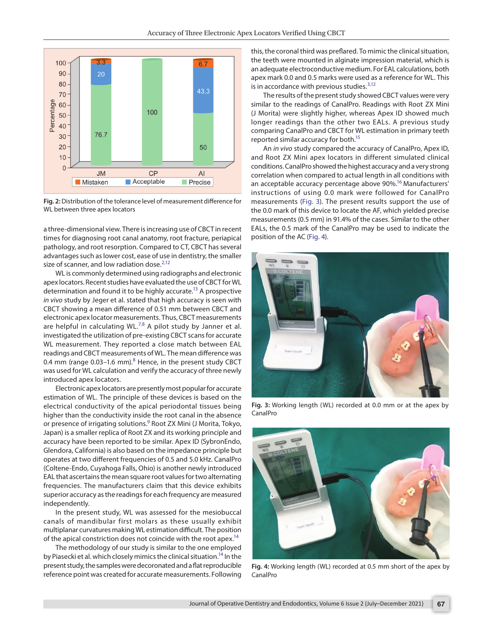

<span id="page-2-0"></span>**Fig. 2:** Distribution of the tolerance level of measurement difference for WL between three apex locators

a three-dimensional view. There is increasing use of CBCT in recent times for diagnosing root canal anatomy, root fracture, periapical pathology, and root resorption. Compared to CT, CBCT has several advantages such as lower cost, ease of use in dentistry, the smaller size of scanner, and low radiation dose.<sup>[2](#page-3-1)[,12](#page-3-10)</sup>

WL is commonly determined using radiographs and electronic apex locators. Recent studies have evaluated the use of CBCT for WL determination and found it to be highly accurate.<sup>13</sup> A prospective *in vivo* study by Jeger et al. stated that high accuracy is seen with CBCT showing a mean difference of 0.51 mm between CBCT and electronic apex locator measurements. Thus, CBCT measurements are helpful in calculating WL. $^{7,8}$  $^{7,8}$  $^{7,8}$  $^{7,8}$  A pilot study by Janner et al. investigated the utilization of pre-existing CBCT scans for accurate WL measurement. They reported a close match between EAL readings and CBCT measurements of WL. The mean difference was 0.4 mm (range 0.03-1.6 mm). $8$  Hence, in the present study CBCT was used for WL calculation and verify the accuracy of three newly introduced apex locators.

Electronic apex locators are presently most popular for accurate estimation of WL. The principle of these devices is based on the electrical conductivity of the apical periodontal tissues being higher than the conductivity inside the root canal in the absence or presence of irrigating solutions.<sup>9</sup> Root ZX Mini (J Morita, Tokyo, Japan) is a smaller replica of Root ZX and its working principle and accuracy have been reported to be similar. Apex ID (SybronEndo, Glendora, California) is also based on the impedance principle but operates at two different frequencies of 0.5 and 5.0 kHz. CanalPro (Coltene-Endo, Cuyahoga Falls, Ohio) is another newly introduced EAL that ascertains the mean square root values for two alternating frequencies. The manufacturers claim that this device exhibits superior accuracy as the readings for each frequency are measured independently.

In the present study, WL was assessed for the mesiobuccal canals of mandibular first molars as these usually exhibit multiplanar curvatures making WL estimation difficult. The position of the apical constriction does not coincide with the root apex.<sup>14</sup>

The methodology of our study is similar to the one employed by Piasecki et al. which closely mimics the clinical situation.<sup>14</sup> In the present study, the samples were decoronated and a flat reproducible reference point was created for accurate measurements. Following

this, the coronal third was preflared. To mimic the clinical situation, the teeth were mounted in alginate impression material, which is an adequate electroconductive medium. For EAL calculations, both apex mark 0.0 and 0.5 marks were used as a reference for WL. This is in accordance with previous studies. $3,12$  $3,12$ 

The results of the present study showed CBCT values were very similar to the readings of CanalPro. Readings with Root ZX Mini (J Morita) were slightly higher, whereas Apex ID showed much longer readings than the other two EALs. A previous study comparing CanalPro and CBCT for WL estimation in primary teeth reported similar accuracy for both[.15](#page-3-13)

An *in vivo* study compared the accuracy of CanalPro, Apex ID, and Root ZX Mini apex locators in different simulated clinical conditions. CanalPro showed the highest accuracy and a very strong correlation when compared to actual length in all conditions with an acceptable accuracy percentage above 90%.<sup>16</sup> Manufacturers' instructions of using 0.0 mark were followed for CanalPro measurements ([Fig. 3](#page-2-1)). The present results support the use of the 0.0 mark of this device to locate the AF, which yielded precise measurements (0.5 mm) in 91.4% of the cases. Similar to the other EALs, the 0.5 mark of the CanalPro may be used to indicate the position of the AC ([Fig. 4\)](#page-2-2).



**Fig. 3:** Working length (WL) recorded at 0.0 mm or at the apex by CanalPro

<span id="page-2-2"></span><span id="page-2-1"></span>

**Fig. 4:** Working length (WL) recorded at 0.5 mm short of the apex by CanalPro